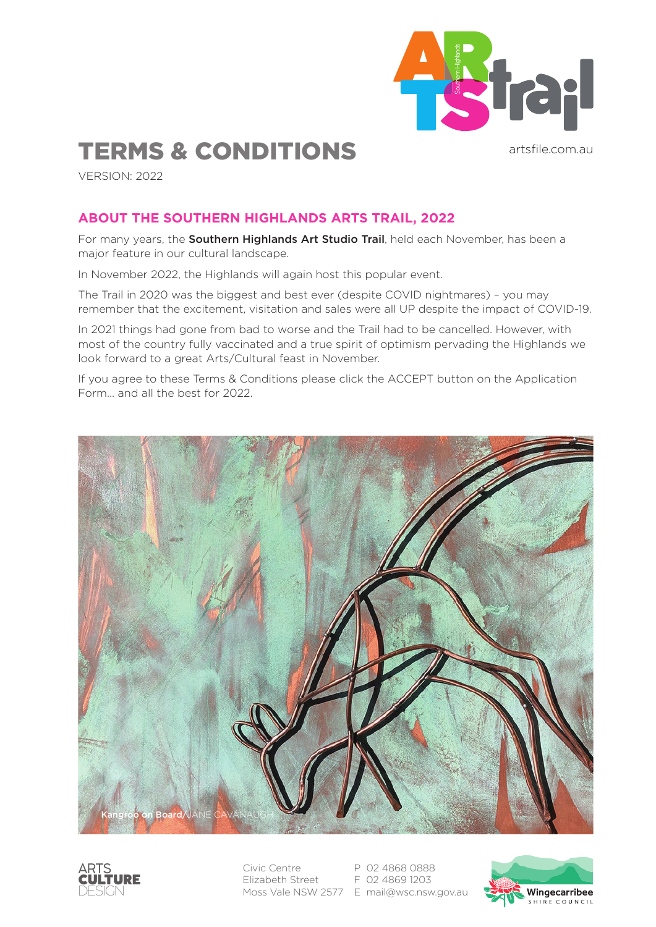

artsfile.com.au

# TERMS & CONDITIONS

VERSION: 2022

### **ABOUT THE SOUTHERN HIGHLANDS ARTS TRAIL, 2022**

For many years, the Southern Highlands Art Studio Trail, held each November, has been a major feature in our cultural landscape.

In November 2022, the Highlands will again host this popular event.

The Trail in 2020 was the biggest and best ever (despite COVID nightmares) – you may remember that the excitement, visitation and sales were all UP despite the impact of COVID-19.

In 2021 things had gone from bad to worse and the Trail had to be cancelled. However, with most of the country fully vaccinated and a true spirit of optimism pervading the Highlands we look forward to a great Arts/Cultural feast in November.

If you agree to these Terms & Conditions please click the ACCEPT button on the Application Form… and all the best for 2022.





Civic Centre Elizabeth Street Moss Vale NSW 2577 E mail@wsc.nsw.gov.au

P 02 4868 0888 F 02 4869 1203

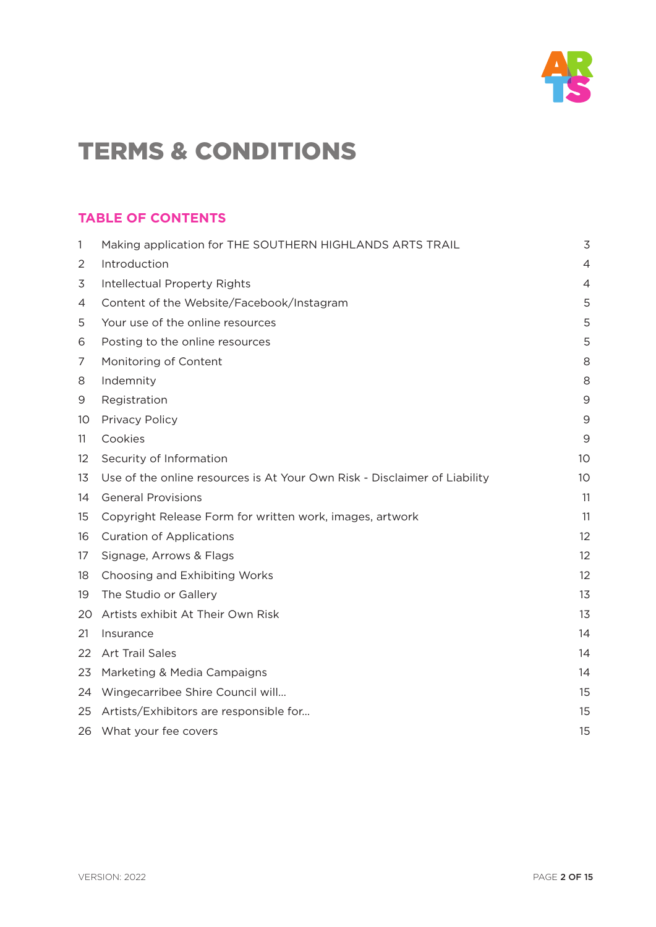

### **TABLE OF CONTENTS**

| $\mathbf{1}$      | Making application for THE SOUTHERN HIGHLANDS ARTS TRAIL                  | 3               |
|-------------------|---------------------------------------------------------------------------|-----------------|
| 2                 | Introduction                                                              | $\overline{4}$  |
| 3                 | Intellectual Property Rights                                              | $\overline{4}$  |
| 4                 | Content of the Website/Facebook/Instagram                                 | 5               |
| 5                 | Your use of the online resources                                          | 5               |
| 6                 | Posting to the online resources                                           | 5               |
| 7                 | Monitoring of Content                                                     | 8               |
| 8                 | Indemnity                                                                 | 8               |
| 9                 | Registration                                                              | $\mathsf 9$     |
| 10                | Privacy Policy                                                            | 9               |
| 11                | Cookies                                                                   | 9               |
| $12 \overline{ }$ | Security of Information                                                   | 10 <sup>°</sup> |
| 13                | Use of the online resources is At Your Own Risk - Disclaimer of Liability | 10              |
| 14                | <b>General Provisions</b>                                                 | 11              |
| 15                | Copyright Release Form for written work, images, artwork                  | 11              |
| 16                | <b>Curation of Applications</b>                                           | 12              |
| 17                | Signage, Arrows & Flags                                                   | 12              |
| 18                | Choosing and Exhibiting Works                                             | 12              |
| 19                | The Studio or Gallery                                                     | 13              |
| 20                | Artists exhibit At Their Own Risk                                         | 13              |
| 21                | Insurance                                                                 | 14              |
| 22                | Art Trail Sales                                                           | 14              |
| 23                | Marketing & Media Campaigns                                               | 14              |
| 24                | Wingecarribee Shire Council will                                          | 15              |
| 25                | Artists/Exhibitors are responsible for                                    | 15              |
| 26                | What your fee covers                                                      | 15              |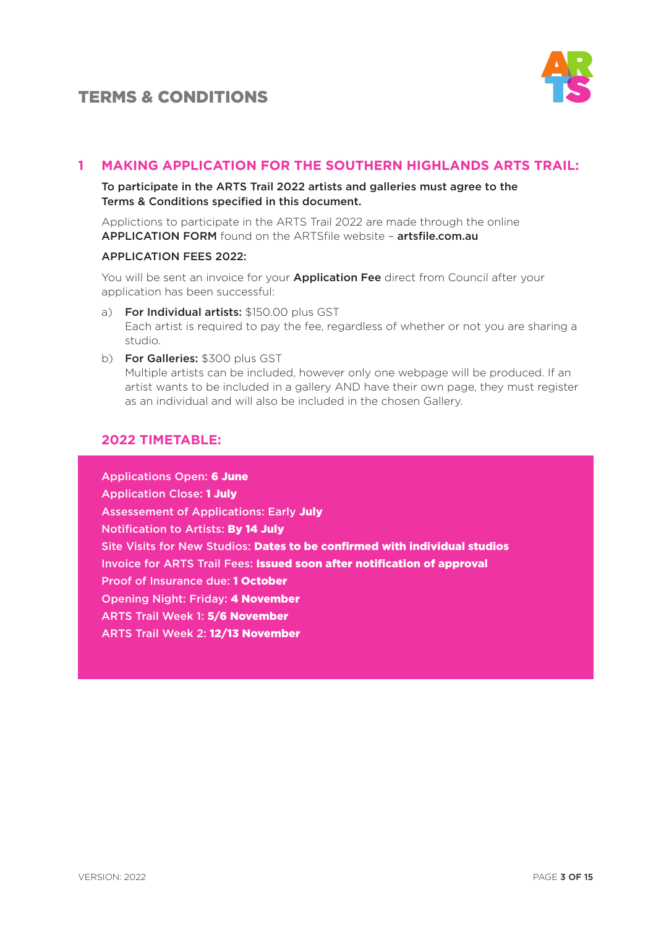



#### **1 MAKING APPLICATION FOR THE SOUTHERN HIGHLANDS ARTS TRAIL:**

#### To participate in the ARTS Trail 2022 artists and galleries must agree to the Terms & Conditions specified in this document.

Applictions to participate in the ARTS Trail 2022 are made through the online APPLICATION FORM found on the ARTSfile website – artsfile.com.au

#### APPLICATION FEES 2022:

You will be sent an invoice for your **Application Fee** direct from Council after your application has been successful:

- a) For Individual artists: \$150.00 plus GST Each artist is required to pay the fee, regardless of whether or not you are sharing a studio.
- b) For Galleries: \$300 plus GST Multiple artists can be included, however only one webpage will be produced. If an artist wants to be included in a gallery AND have their own page, they must register as an individual and will also be included in the chosen Gallery.

#### **2022 TIMETABLE:**

Applications Open: 6 June Application Close: 1 July Assessement of Applications: Early July Notification to Artists: By 14 July Site Visits for New Studios: Dates to be confirmed with individual studios Invoice for ARTS Trail Fees: Issued soon after notification of approval Proof of Insurance due: 1 October Opening Night: Friday: 4 November ARTS Trail Week 1: 5/6 November ARTS Trail Week 2: 12/13 November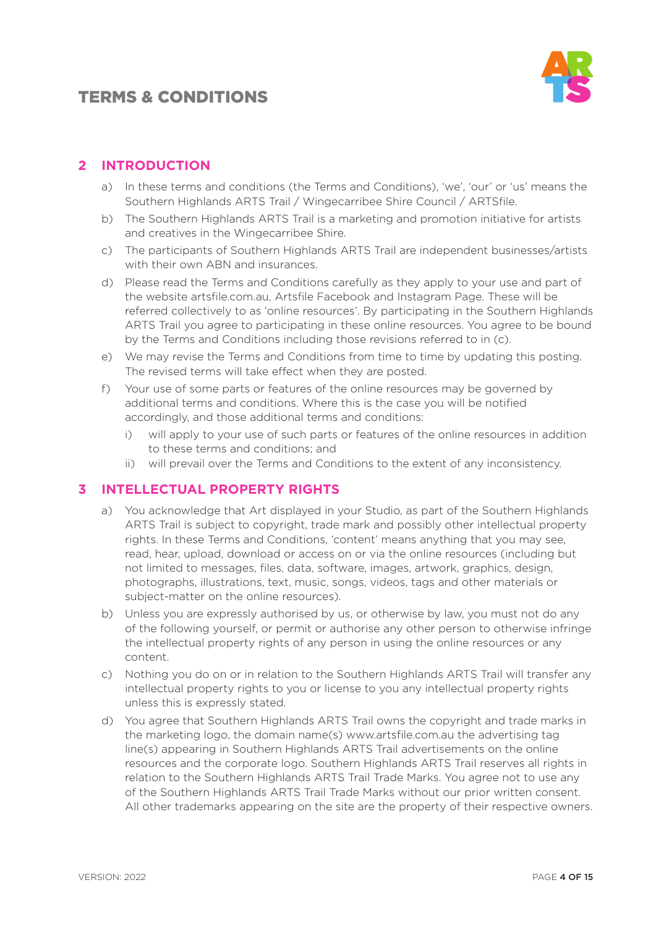

### **2 INTRODUCTION**

- a) In these terms and conditions (the Terms and Conditions), 'we', 'our' or 'us' means the Southern Highlands ARTS Trail / Wingecarribee Shire Council / ARTSfile.
- b) The Southern Highlands ARTS Trail is a marketing and promotion initiative for artists and creatives in the Wingecarribee Shire.
- c) The participants of Southern Highlands ARTS Trail are independent businesses/artists with their own ABN and insurances.
- d) Please read the Terms and Conditions carefully as they apply to your use and part of the website artsfile.com.au, Artsfile Facebook and Instagram Page. These will be referred collectively to as 'online resources'. By participating in the Southern Highlands ARTS Trail you agree to participating in these online resources. You agree to be bound by the Terms and Conditions including those revisions referred to in (c).
- e) We may revise the Terms and Conditions from time to time by updating this posting. The revised terms will take effect when they are posted.
- f) Your use of some parts or features of the online resources may be governed by additional terms and conditions. Where this is the case you will be notified accordingly, and those additional terms and conditions:
	- i) will apply to your use of such parts or features of the online resources in addition to these terms and conditions; and
	- ii) will prevail over the Terms and Conditions to the extent of any inconsistency.

### **3 INTELLECTUAL PROPERTY RIGHTS**

- a) You acknowledge that Art displayed in your Studio, as part of the Southern Highlands ARTS Trail is subject to copyright, trade mark and possibly other intellectual property rights. In these Terms and Conditions, 'content' means anything that you may see, read, hear, upload, download or access on or via the online resources (including but not limited to messages, files, data, software, images, artwork, graphics, design, photographs, illustrations, text, music, songs, videos, tags and other materials or subject-matter on the online resources).
- b) Unless you are expressly authorised by us, or otherwise by law, you must not do any of the following yourself, or permit or authorise any other person to otherwise infringe the intellectual property rights of any person in using the online resources or any content.
- c) Nothing you do on or in relation to the Southern Highlands ARTS Trail will transfer any intellectual property rights to you or license to you any intellectual property rights unless this is expressly stated.
- d) You agree that Southern Highlands ARTS Trail owns the copyright and trade marks in the marketing logo, the domain name(s) www.artsfile.com.au the advertising tag line(s) appearing in Southern Highlands ARTS Trail advertisements on the online resources and the corporate logo. Southern Highlands ARTS Trail reserves all rights in relation to the Southern Highlands ARTS Trail Trade Marks. You agree not to use any of the Southern Highlands ARTS Trail Trade Marks without our prior written consent. All other trademarks appearing on the site are the property of their respective owners.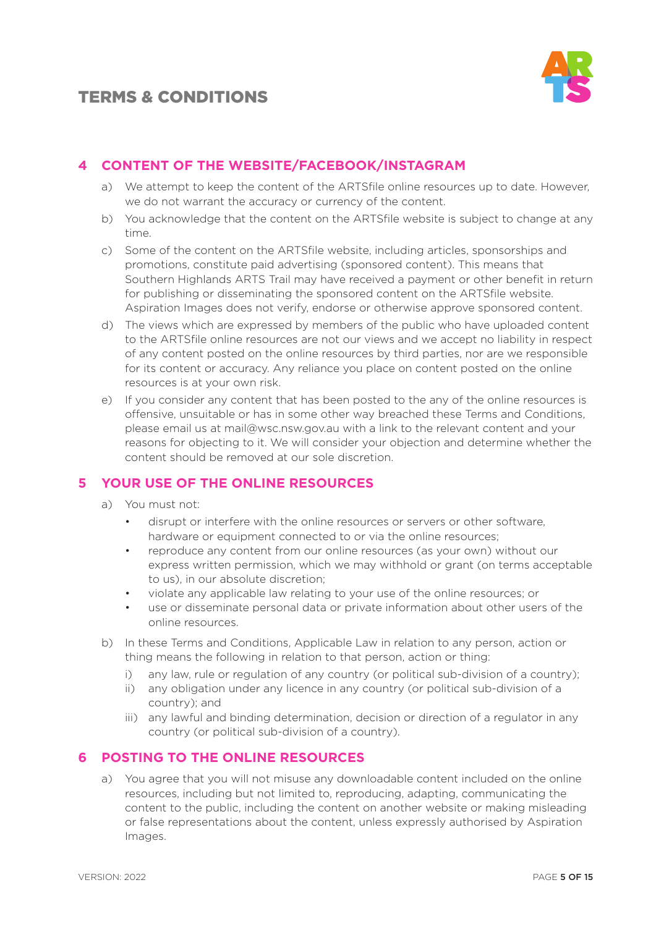

### **4 CONTENT OF THE WEBSITE/FACEBOOK/INSTAGRAM**

- a) We attempt to keep the content of the ARTSfile online resources up to date. However, we do not warrant the accuracy or currency of the content.
- b) You acknowledge that the content on the ARTSfile website is subject to change at any time.
- c) Some of the content on the ARTSfile website, including articles, sponsorships and promotions, constitute paid advertising (sponsored content). This means that Southern Highlands ARTS Trail may have received a payment or other benefit in return for publishing or disseminating the sponsored content on the ARTSfile website. Aspiration Images does not verify, endorse or otherwise approve sponsored content.
- d) The views which are expressed by members of the public who have uploaded content to the ARTSfile online resources are not our views and we accept no liability in respect of any content posted on the online resources by third parties, nor are we responsible for its content or accuracy. Any reliance you place on content posted on the online resources is at your own risk.
- e) If you consider any content that has been posted to the any of the online resources is offensive, unsuitable or has in some other way breached these Terms and Conditions, please email us at mail@wsc.nsw.gov.au with a link to the relevant content and your reasons for objecting to it. We will consider your objection and determine whether the content should be removed at our sole discretion.

### **5 YOUR USE OF THE ONLINE RESOURCES**

- a) You must not:
	- disrupt or interfere with the online resources or servers or other software, hardware or equipment connected to or via the online resources;
	- reproduce any content from our online resources (as your own) without our express written permission, which we may withhold or grant (on terms acceptable to us), in our absolute discretion;
	- violate any applicable law relating to your use of the online resources; or
	- use or disseminate personal data or private information about other users of the online resources.
- b) In these Terms and Conditions, Applicable Law in relation to any person, action or thing means the following in relation to that person, action or thing:
	- i) any law, rule or regulation of any country (or political sub-division of a country);
	- ii) any obligation under any licence in any country (or political sub-division of a country); and
	- iii) any lawful and binding determination, decision or direction of a regulator in any country (or political sub-division of a country).

### **6 POSTING TO THE ONLINE RESOURCES**

a) You agree that you will not misuse any downloadable content included on the online resources, including but not limited to, reproducing, adapting, communicating the content to the public, including the content on another website or making misleading or false representations about the content, unless expressly authorised by Aspiration Images.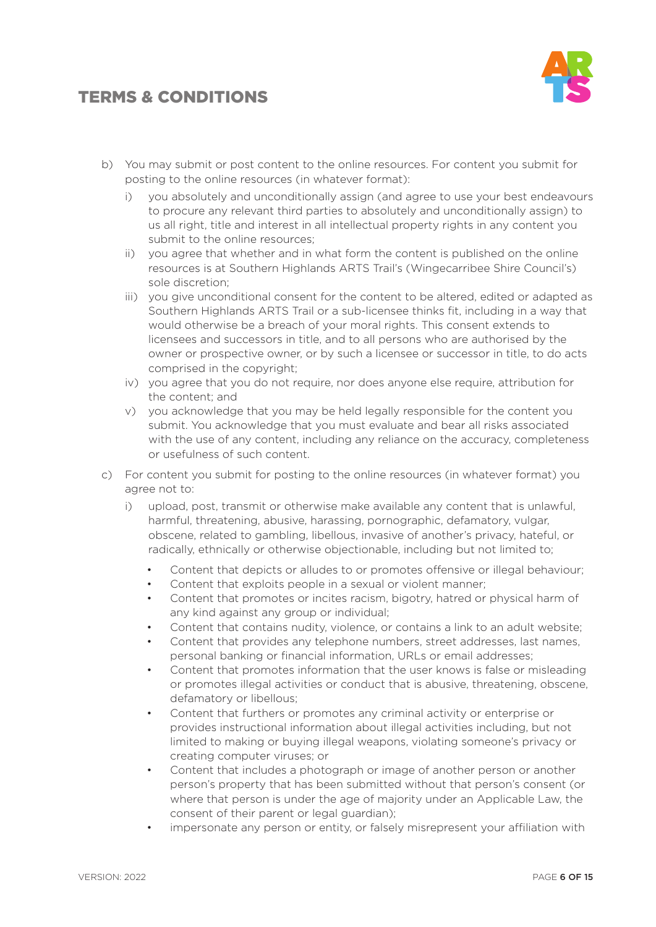

- b) You may submit or post content to the online resources. For content you submit for posting to the online resources (in whatever format):
	- i) you absolutely and unconditionally assign (and agree to use your best endeavours to procure any relevant third parties to absolutely and unconditionally assign) to us all right, title and interest in all intellectual property rights in any content you submit to the online resources;
	- ii) you agree that whether and in what form the content is published on the online resources is at Southern Highlands ARTS Trail's (Wingecarribee Shire Council's) sole discretion;
	- iii) you give unconditional consent for the content to be altered, edited or adapted as Southern Highlands ARTS Trail or a sub-licensee thinks fit, including in a way that would otherwise be a breach of your moral rights. This consent extends to licensees and successors in title, and to all persons who are authorised by the owner or prospective owner, or by such a licensee or successor in title, to do acts comprised in the copyright;
	- iv) you agree that you do not require, nor does anyone else require, attribution for the content; and
	- v) you acknowledge that you may be held legally responsible for the content you submit. You acknowledge that you must evaluate and bear all risks associated with the use of any content, including any reliance on the accuracy, completeness or usefulness of such content.
- c) For content you submit for posting to the online resources (in whatever format) you agree not to:
	- i) upload, post, transmit or otherwise make available any content that is unlawful, harmful, threatening, abusive, harassing, pornographic, defamatory, vulgar, obscene, related to gambling, libellous, invasive of another's privacy, hateful, or radically, ethnically or otherwise objectionable, including but not limited to;
		- Content that depicts or alludes to or promotes offensive or illegal behaviour;
		- Content that exploits people in a sexual or violent manner;
		- Content that promotes or incites racism, bigotry, hatred or physical harm of any kind against any group or individual;
		- Content that contains nudity, violence, or contains a link to an adult website;
		- Content that provides any telephone numbers, street addresses, last names, personal banking or financial information, URLs or email addresses;
		- Content that promotes information that the user knows is false or misleading or promotes illegal activities or conduct that is abusive, threatening, obscene, defamatory or libellous;
		- Content that furthers or promotes any criminal activity or enterprise or provides instructional information about illegal activities including, but not limited to making or buying illegal weapons, violating someone's privacy or creating computer viruses; or
		- Content that includes a photograph or image of another person or another person's property that has been submitted without that person's consent (or where that person is under the age of majority under an Applicable Law, the consent of their parent or legal guardian);
		- impersonate any person or entity, or falsely misrepresent your affiliation with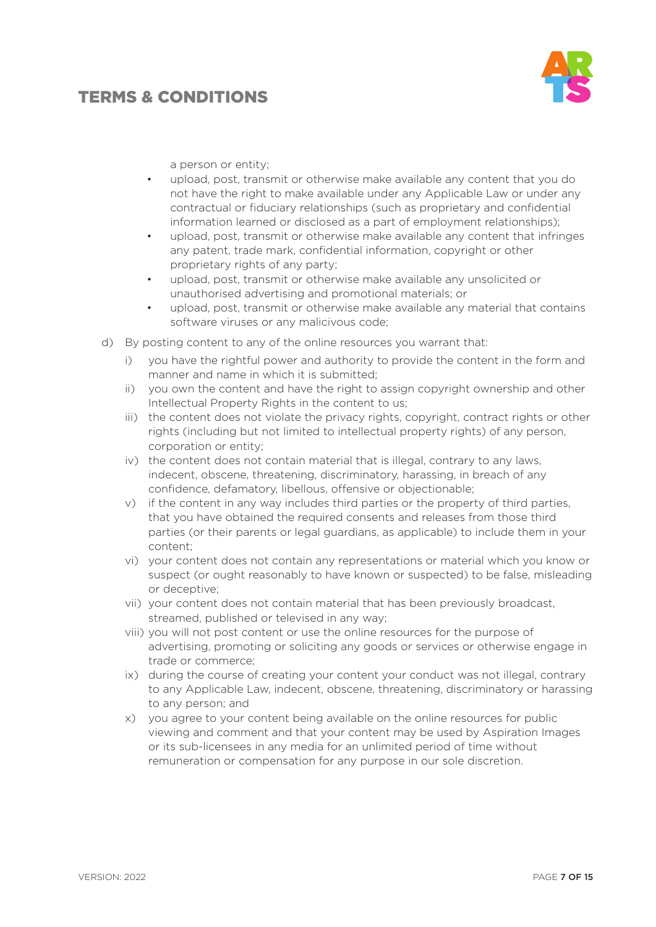

a person or entity;

- upload, post, transmit or otherwise make available any content that you do not have the right to make available under any Applicable Law or under any contractual or fiduciary relationships (such as proprietary and confidential information learned or disclosed as a part of employment relationships);
- upload, post, transmit or otherwise make available any content that infringes any patent, trade mark, confidential information, copyright or other proprietary rights of any party;
- upload, post, transmit or otherwise make available any unsolicited or unauthorised advertising and promotional materials; or
- upload, post, transmit or otherwise make available any material that contains software viruses or any malicivous code;
- d) By posting content to any of the online resources you warrant that:
	- i) you have the rightful power and authority to provide the content in the form and manner and name in which it is submitted;
	- ii) you own the content and have the right to assign copyright ownership and other Intellectual Property Rights in the content to us;
	- iii) the content does not violate the privacy rights, copyright, contract rights or other rights (including but not limited to intellectual property rights) of any person, corporation or entity;
	- iv) the content does not contain material that is illegal, contrary to any laws, indecent, obscene, threatening, discriminatory, harassing, in breach of any confidence, defamatory, libellous, offensive or objectionable;
	- v) if the content in any way includes third parties or the property of third parties, that you have obtained the required consents and releases from those third parties (or their parents or legal guardians, as applicable) to include them in your content;
	- vi) your content does not contain any representations or material which you know or suspect (or ought reasonably to have known or suspected) to be false, misleading or deceptive;
	- vii) your content does not contain material that has been previously broadcast, streamed, published or televised in any way;
	- viii) you will not post content or use the online resources for the purpose of advertising, promoting or soliciting any goods or services or otherwise engage in trade or commerce;
	- ix) during the course of creating your content your conduct was not illegal, contrary to any Applicable Law, indecent, obscene, threatening, discriminatory or harassing to any person; and
	- x) you agree to your content being available on the online resources for public viewing and comment and that your content may be used by Aspiration Images or its sub-licensees in any media for an unlimited period of time without remuneration or compensation for any purpose in our sole discretion.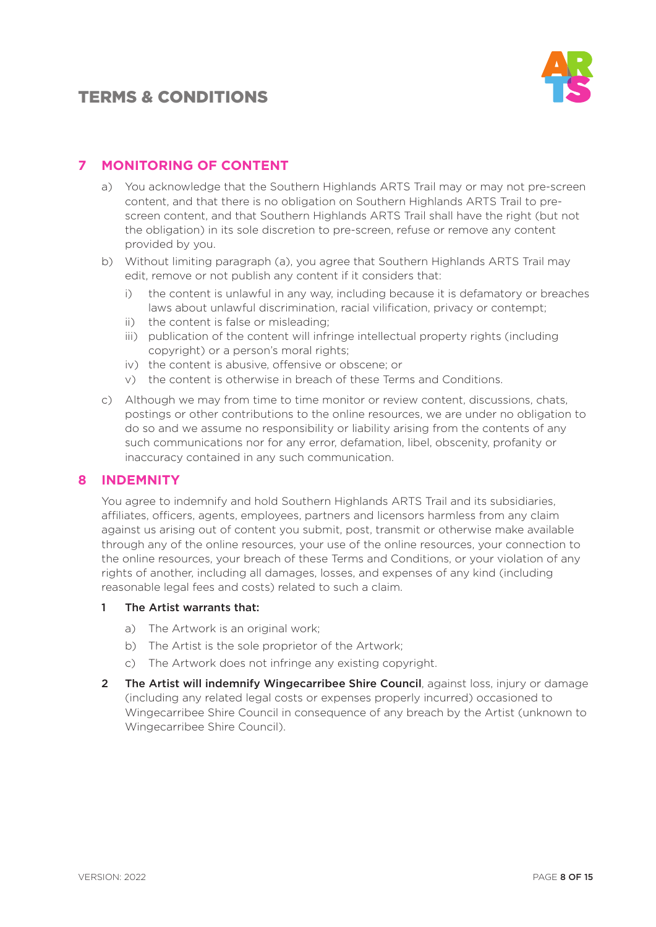

### **7 MONITORING OF CONTENT**

- a) You acknowledge that the Southern Highlands ARTS Trail may or may not pre-screen content, and that there is no obligation on Southern Highlands ARTS Trail to prescreen content, and that Southern Highlands ARTS Trail shall have the right (but not the obligation) in its sole discretion to pre-screen, refuse or remove any content provided by you.
- b) Without limiting paragraph (a), you agree that Southern Highlands ARTS Trail may edit, remove or not publish any content if it considers that:
	- i) the content is unlawful in any way, including because it is defamatory or breaches laws about unlawful discrimination, racial vilification, privacy or contempt;
	- ii) the content is false or misleading;
	- iii) publication of the content will infringe intellectual property rights (including copyright) or a person's moral rights;
	- iv) the content is abusive, offensive or obscene; or
	- v) the content is otherwise in breach of these Terms and Conditions.
- c) Although we may from time to time monitor or review content, discussions, chats, postings or other contributions to the online resources, we are under no obligation to do so and we assume no responsibility or liability arising from the contents of any such communications nor for any error, defamation, libel, obscenity, profanity or inaccuracy contained in any such communication.

#### **8 INDEMNITY**

You agree to indemnify and hold Southern Highlands ARTS Trail and its subsidiaries, affiliates, officers, agents, employees, partners and licensors harmless from any claim against us arising out of content you submit, post, transmit or otherwise make available through any of the online resources, your use of the online resources, your connection to the online resources, your breach of these Terms and Conditions, or your violation of any rights of another, including all damages, losses, and expenses of any kind (including reasonable legal fees and costs) related to such a claim.

#### 1 The Artist warrants that:

- a) The Artwork is an original work;
- b) The Artist is the sole proprietor of the Artwork;
- c) The Artwork does not infringe any existing copyright.
- 2 The Artist will indemnify Wingecarribee Shire Council, against loss, injury or damage (including any related legal costs or expenses properly incurred) occasioned to Wingecarribee Shire Council in consequence of any breach by the Artist (unknown to Wingecarribee Shire Council).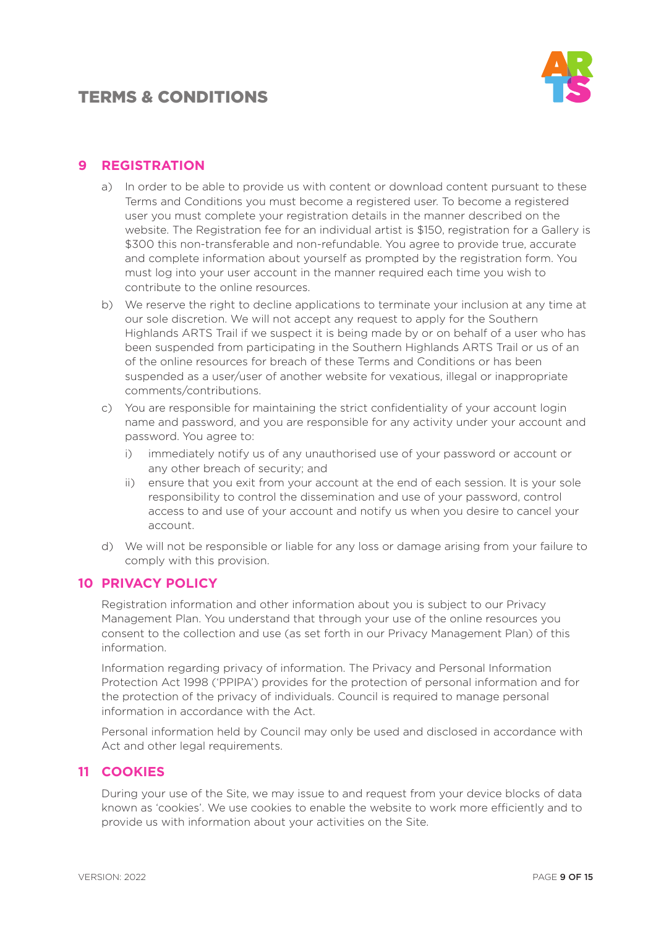

#### **9 REGISTRATION**

- a) In order to be able to provide us with content or download content pursuant to these Terms and Conditions you must become a registered user. To become a registered user you must complete your registration details in the manner described on the website. The Registration fee for an individual artist is \$150, registration for a Gallery is \$300 this non-transferable and non-refundable. You agree to provide true, accurate and complete information about yourself as prompted by the registration form. You must log into your user account in the manner required each time you wish to contribute to the online resources.
- b) We reserve the right to decline applications to terminate your inclusion at any time at our sole discretion. We will not accept any request to apply for the Southern Highlands ARTS Trail if we suspect it is being made by or on behalf of a user who has been suspended from participating in the Southern Highlands ARTS Trail or us of an of the online resources for breach of these Terms and Conditions or has been suspended as a user/user of another website for vexatious, illegal or inappropriate comments/contributions.
- c) You are responsible for maintaining the strict confidentiality of your account login name and password, and you are responsible for any activity under your account and password. You agree to:
	- i) immediately notify us of any unauthorised use of your password or account or any other breach of security; and
	- ii) ensure that you exit from your account at the end of each session. It is your sole responsibility to control the dissemination and use of your password, control access to and use of your account and notify us when you desire to cancel your account.
- d) We will not be responsible or liable for any loss or damage arising from your failure to comply with this provision.

### **10 PRIVACY POLICY**

Registration information and other information about you is subject to our Privacy Management Plan. You understand that through your use of the online resources you consent to the collection and use (as set forth in our Privacy Management Plan) of this information.

Information regarding privacy of information. The Privacy and Personal Information Protection Act 1998 ('PPIPA') provides for the protection of personal information and for the protection of the privacy of individuals. Council is required to manage personal information in accordance with the Act.

Personal information held by Council may only be used and disclosed in accordance with Act and other legal requirements.

#### **11 COOKIES**

During your use of the Site, we may issue to and request from your device blocks of data known as 'cookies'. We use cookies to enable the website to work more efficiently and to provide us with information about your activities on the Site.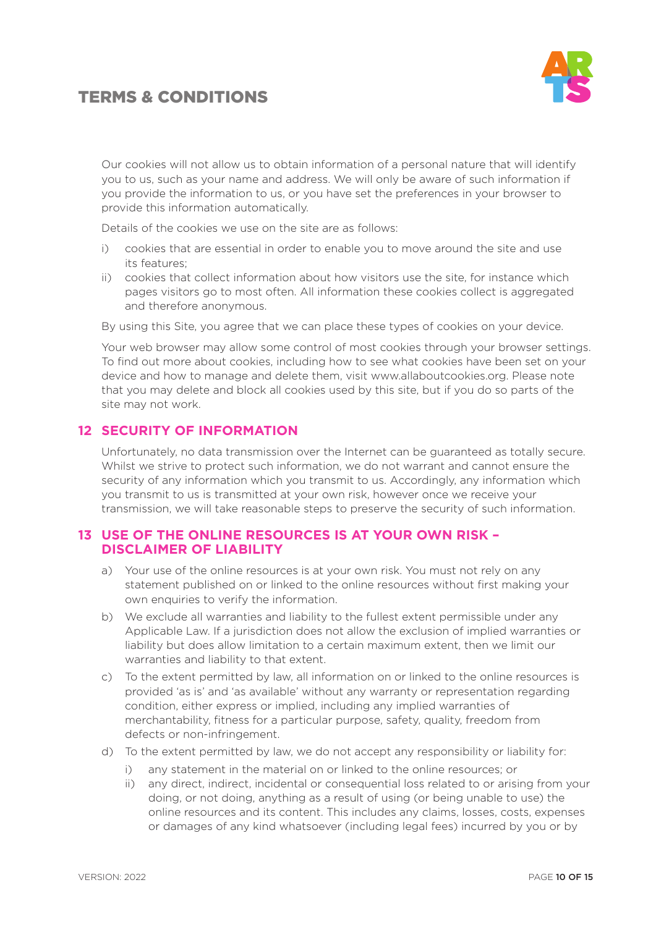

Our cookies will not allow us to obtain information of a personal nature that will identify you to us, such as your name and address. We will only be aware of such information if you provide the information to us, or you have set the preferences in your browser to provide this information automatically.

Details of the cookies we use on the site are as follows:

- i) cookies that are essential in order to enable you to move around the site and use its features;
- ii) cookies that collect information about how visitors use the site, for instance which pages visitors go to most often. All information these cookies collect is aggregated and therefore anonymous.

By using this Site, you agree that we can place these types of cookies on your device.

Your web browser may allow some control of most cookies through your browser settings. To find out more about cookies, including how to see what cookies have been set on your device and how to manage and delete them, visit www.allaboutcookies.org. Please note that you may delete and block all cookies used by this site, but if you do so parts of the site may not work.

#### **12 SECURITY OF INFORMATION**

Unfortunately, no data transmission over the Internet can be guaranteed as totally secure. Whilst we strive to protect such information, we do not warrant and cannot ensure the security of any information which you transmit to us. Accordingly, any information which you transmit to us is transmitted at your own risk, however once we receive your transmission, we will take reasonable steps to preserve the security of such information.

#### **13 USE OF THE ONLINE RESOURCES IS AT YOUR OWN RISK – DISCLAIMER OF LIABILITY**

- a) Your use of the online resources is at your own risk. You must not rely on any statement published on or linked to the online resources without first making your own enquiries to verify the information.
- b) We exclude all warranties and liability to the fullest extent permissible under any Applicable Law. If a jurisdiction does not allow the exclusion of implied warranties or liability but does allow limitation to a certain maximum extent, then we limit our warranties and liability to that extent.
- c) To the extent permitted by law, all information on or linked to the online resources is provided 'as is' and 'as available' without any warranty or representation regarding condition, either express or implied, including any implied warranties of merchantability, fitness for a particular purpose, safety, quality, freedom from defects or non-infringement.
- d) To the extent permitted by law, we do not accept any responsibility or liability for:
	- i) any statement in the material on or linked to the online resources; or
	- ii) any direct, indirect, incidental or consequential loss related to or arising from your doing, or not doing, anything as a result of using (or being unable to use) the online resources and its content. This includes any claims, losses, costs, expenses or damages of any kind whatsoever (including legal fees) incurred by you or by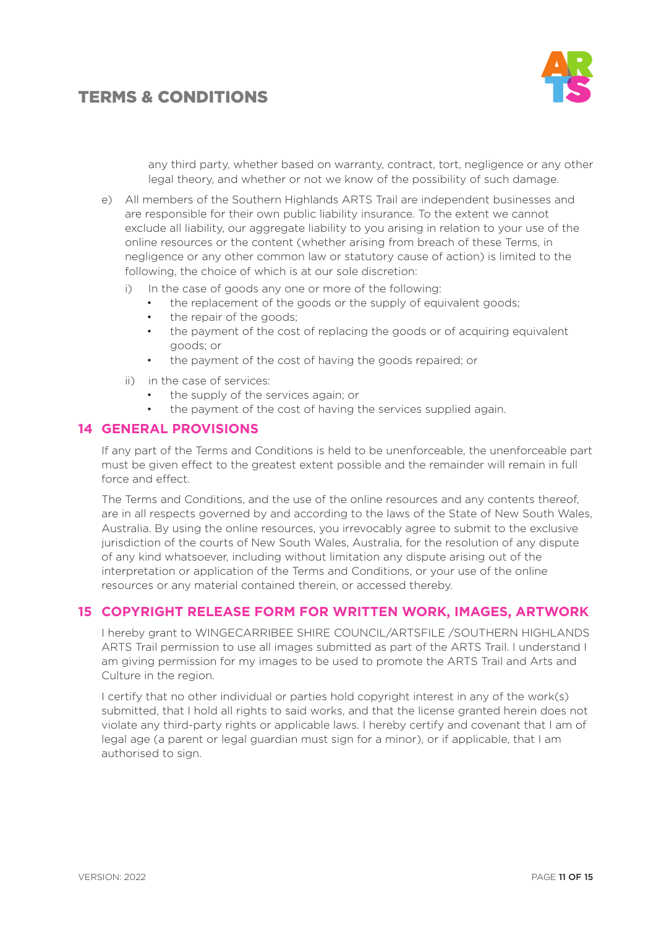

any third party, whether based on warranty, contract, tort, negligence or any other legal theory, and whether or not we know of the possibility of such damage.

- e) All members of the Southern Highlands ARTS Trail are independent businesses and are responsible for their own public liability insurance. To the extent we cannot exclude all liability, our aggregate liability to you arising in relation to your use of the online resources or the content (whether arising from breach of these Terms, in negligence or any other common law or statutory cause of action) is limited to the following, the choice of which is at our sole discretion:
	- i) In the case of goods any one or more of the following:
		- the replacement of the goods or the supply of equivalent goods;
		- the repair of the goods;
		- the payment of the cost of replacing the goods or of acquiring equivalent goods; or
		- the payment of the cost of having the goods repaired; or
	- ii) in the case of services:
		- the supply of the services again; or
		- the payment of the cost of having the services supplied again.

#### **14 GENERAL PROVISIONS**

If any part of the Terms and Conditions is held to be unenforceable, the unenforceable part must be given effect to the greatest extent possible and the remainder will remain in full force and effect.

The Terms and Conditions, and the use of the online resources and any contents thereof, are in all respects governed by and according to the laws of the State of New South Wales, Australia. By using the online resources, you irrevocably agree to submit to the exclusive jurisdiction of the courts of New South Wales, Australia, for the resolution of any dispute of any kind whatsoever, including without limitation any dispute arising out of the interpretation or application of the Terms and Conditions, or your use of the online resources or any material contained therein, or accessed thereby.

### **15 COPYRIGHT RELEASE FORM FOR WRITTEN WORK, IMAGES, ARTWORK**

I hereby grant to WINGECARRIBEE SHIRE COUNCIL/ARTSFILE /SOUTHERN HIGHLANDS ARTS Trail permission to use all images submitted as part of the ARTS Trail. I understand I am giving permission for my images to be used to promote the ARTS Trail and Arts and Culture in the region.

I certify that no other individual or parties hold copyright interest in any of the work(s) submitted, that I hold all rights to said works, and that the license granted herein does not violate any third-party rights or applicable laws. I hereby certify and covenant that I am of legal age (a parent or legal guardian must sign for a minor), or if applicable, that I am authorised to sign.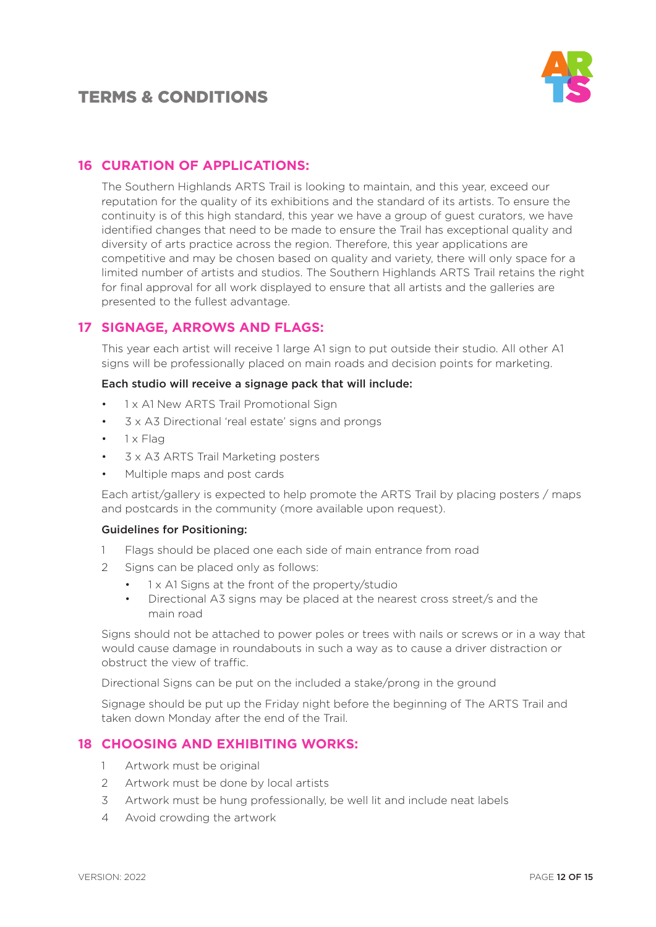

### **16 CURATION OF APPLICATIONS:**

The Southern Highlands ARTS Trail is looking to maintain, and this year, exceed our reputation for the quality of its exhibitions and the standard of its artists. To ensure the continuity is of this high standard, this year we have a group of guest curators, we have identified changes that need to be made to ensure the Trail has exceptional quality and diversity of arts practice across the region. Therefore, this year applications are competitive and may be chosen based on quality and variety, there will only space for a limited number of artists and studios. The Southern Highlands ARTS Trail retains the right for final approval for all work displayed to ensure that all artists and the galleries are presented to the fullest advantage.

### **17 SIGNAGE, ARROWS AND FLAGS:**

This year each artist will receive 1 large A1 sign to put outside their studio. All other A1 signs will be professionally placed on main roads and decision points for marketing.

#### Each studio will receive a signage pack that will include:

- 1 x A1 New ARTS Trail Promotional Sign
- 3 x A3 Directional 'real estate' signs and prongs
- 1 x Flag
- 3 x A3 ARTS Trail Marketing posters
- Multiple maps and post cards

Each artist/gallery is expected to help promote the ARTS Trail by placing posters / maps and postcards in the community (more available upon request).

#### Guidelines for Positioning:

- 1 Flags should be placed one each side of main entrance from road
- 2 Signs can be placed only as follows:
	- 1 x A1 Signs at the front of the property/studio
	- Directional A3 signs may be placed at the nearest cross street/s and the main road

Signs should not be attached to power poles or trees with nails or screws or in a way that would cause damage in roundabouts in such a way as to cause a driver distraction or obstruct the view of traffic.

Directional Signs can be put on the included a stake/prong in the ground

Signage should be put up the Friday night before the beginning of The ARTS Trail and taken down Monday after the end of the Trail.

#### **18 CHOOSING AND EXHIBITING WORKS:**

- 1 Artwork must be original
- 2 Artwork must be done by local artists
- 3 Artwork must be hung professionally, be well lit and include neat labels
- 4 Avoid crowding the artwork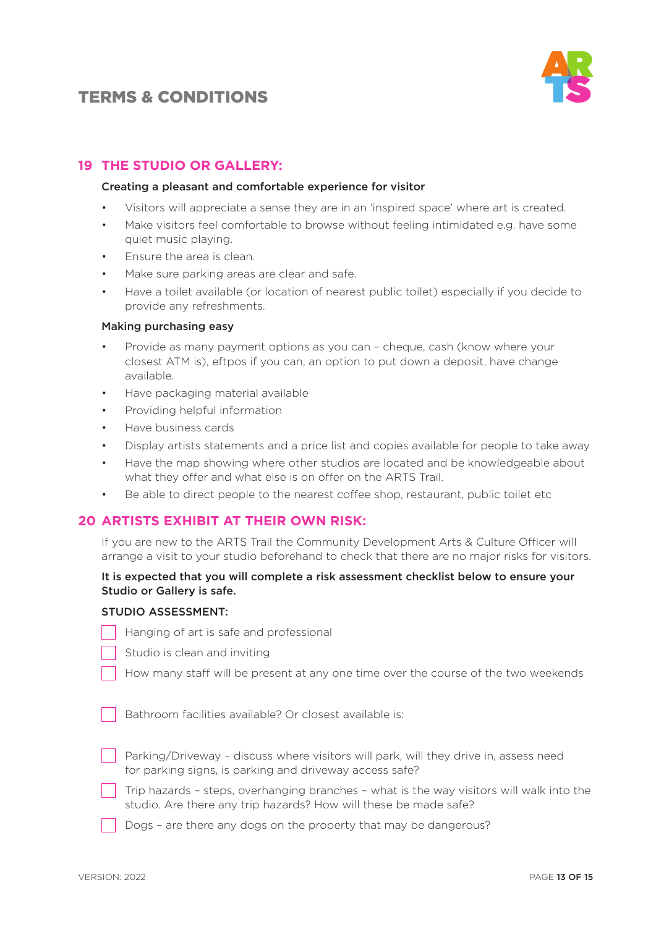

### **19 THE STUDIO OR GALLERY:**

#### Creating a pleasant and comfortable experience for visitor

- Visitors will appreciate a sense they are in an 'inspired space' where art is created.
- Make visitors feel comfortable to browse without feeling intimidated e.g. have some quiet music playing.
- Ensure the area is clean.
- Make sure parking areas are clear and safe.
- Have a toilet available (or location of nearest public toilet) especially if you decide to provide any refreshments.

#### Making purchasing easy

- Provide as many payment options as you can cheque, cash (know where your closest ATM is), eftpos if you can, an option to put down a deposit, have change available.
- Have packaging material available
- Providing helpful information
- Have business cards
- Display artists statements and a price list and copies available for people to take away
- Have the map showing where other studios are located and be knowledgeable about what they offer and what else is on offer on the ARTS Trail.
- Be able to direct people to the nearest coffee shop, restaurant, public toilet etc

#### **20 ARTISTS EXHIBIT AT THEIR OWN RISK:**

If you are new to the ARTS Trail the Community Development Arts & Culture Officer will arrange a visit to your studio beforehand to check that there are no major risks for visitors.

#### It is expected that you will complete a risk assessment checklist below to ensure your Studio or Gallery is safe.

#### STUDIO ASSESSMENT:

- Hanging of art is safe and professional
- Studio is clean and inviting
- How many staff will be present at any one time over the course of the two weekends

Bathroom facilities available? Or closest available is:

- Parking/Driveway discuss where visitors will park, will they drive in, assess need for parking signs, is parking and driveway access safe?
- Trip hazards steps, overhanging branches what is the way visitors will walk into the studio. Are there any trip hazards? How will these be made safe?
- Dogs are there any dogs on the property that may be dangerous?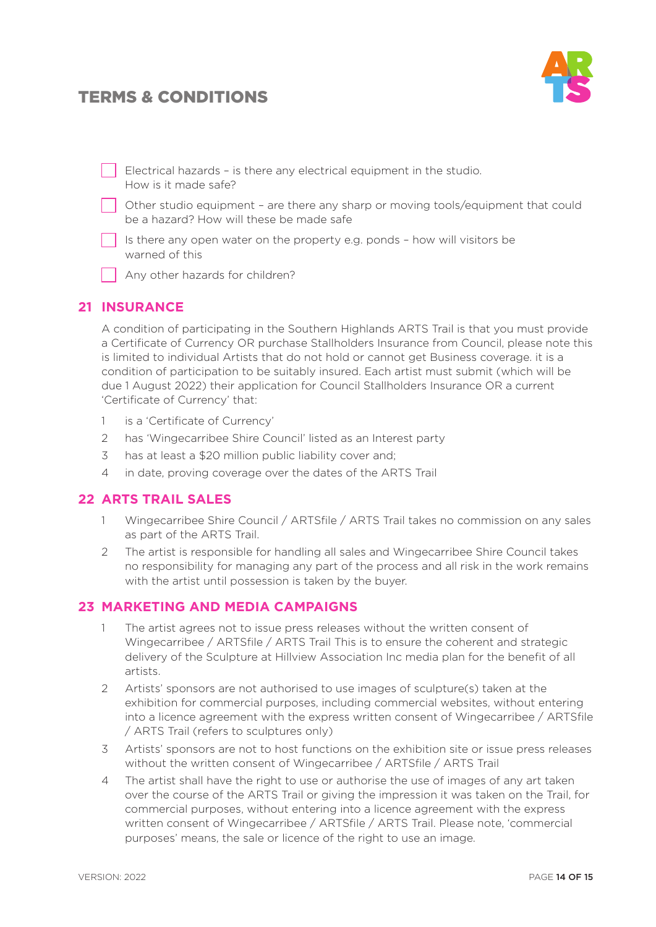

Electrical hazards – is there any electrical equipment in the studio. How is it made safe? Other studio equipment – are there any sharp or moving tools/equipment that could

be a hazard? How will these be made safe

Is there any open water on the property e.g. ponds – how will visitors be warned of this

Any other hazards for children?

### **21 INSURANCE**

A condition of participating in the Southern Highlands ARTS Trail is that you must provide a Certificate of Currency OR purchase Stallholders Insurance from Council, please note this is limited to individual Artists that do not hold or cannot get Business coverage. it is a condition of participation to be suitably insured. Each artist must submit (which will be due 1 August 2022) their application for Council Stallholders Insurance OR a current 'Certificate of Currency' that:

- 1 is a 'Certificate of Currency'
- 2 has 'Wingecarribee Shire Council' listed as an Interest party
- 3 has at least a \$20 million public liability cover and;
- 4 in date, proving coverage over the dates of the ARTS Trail

#### **22 ARTS TRAIL SALES**

- 1 Wingecarribee Shire Council / ARTSfile / ARTS Trail takes no commission on any sales as part of the ARTS Trail.
- 2 The artist is responsible for handling all sales and Wingecarribee Shire Council takes no responsibility for managing any part of the process and all risk in the work remains with the artist until possession is taken by the buyer.

### **23 MARKETING AND MEDIA CAMPAIGNS**

- 1 The artist agrees not to issue press releases without the written consent of Wingecarribee / ARTSfile / ARTS Trail This is to ensure the coherent and strategic delivery of the Sculpture at Hillview Association Inc media plan for the benefit of all artists.
- 2 Artists' sponsors are not authorised to use images of sculpture(s) taken at the exhibition for commercial purposes, including commercial websites, without entering into a licence agreement with the express written consent of Wingecarribee / ARTSfile / ARTS Trail (refers to sculptures only)
- 3 Artists' sponsors are not to host functions on the exhibition site or issue press releases without the written consent of Wingecarribee / ARTSfile / ARTS Trail
- 4 The artist shall have the right to use or authorise the use of images of any art taken over the course of the ARTS Trail or giving the impression it was taken on the Trail, for commercial purposes, without entering into a licence agreement with the express written consent of Wingecarribee / ARTSfile / ARTS Trail. Please note, 'commercial purposes' means, the sale or licence of the right to use an image.